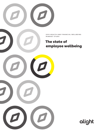

**2019 HEALTH AND FINANCIAL WELLBEING MINDSET STUDY**

# The state of employee wellbeing







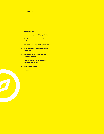- 1 About this study
- 2 Current employee wellbeing mindset
- 4 Employee wellbeing is not getting better
- 8 Financial wellbeing challenges persist
- 12 Healthcare consumerism behaviors are in flux
- 16 Employees look to employers for wellbeing support
- 22 What employers can do to improve employee wellbeing
- 25 Respondent profile
- 26 The authors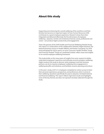## About this study

Supporting and enhancing the overall wellbeing of the workforce and their families has become an important aspect of how Human Resources (HR) contributes to a great employee experience. Research shows that when integrated and delivered effectively, the five dimensions of employee wellbeing—physical, mental and emotional, financial, social, professional and career—can produce higher productivity and engagement.

That's the genesis of the 2019 Health and Financial Wellbeing Mindset Study. This report is a continuation of the collaboration between Alight Solutions, the National Business Group on Health (NBGH), and Kantar Consulting. For 2019 (and anticipated for future years), our prior Consumer Health Mindset® Study and Financial Mindset® Study are combined to better reflect views and insights on an overall employee wellbeing framework.

This study builds on the many years of insights from prior research to better understand employees' experience and attitudes around workplace wellbeing. Alight conducts the study to discover what employers and their business partners can do to improve employees' wellbeing, drive engagement in wellbeing benefits and initiatives, and facilitate smarter planning and actions.

In this year's study, 2,501 U.S. employees completed an online survey to share their personal experiences, perspectives, and preferences when it comes to their wellbeing. Questions specifically focused on physical, mental/emotional and financial wellbeing. This report reflects high-level results and highlights some of the key themes, but does not represent all data collected through the study.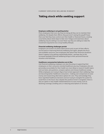## Taking stock while seeking support

#### Employee wellbeing is not getting better

More employees than ever say they are doing all they can to maintain their wellbeing. Yet despite their efforts, they just aren't seeing the payoff. Fewer than ever feel they have control over their health or financial future, creating uncertainty about what steps to take next. Fatigue and weariness about wellbeing may be setting in as even fewer say they are willing to make the investment required to live a truly healthy lifestyle.

#### Financial wellbeing challenges persist

Employers are tuned in to these observances and, as part of their efforts, are focused on improving financial wellbeing. But again, despite the focus and available resources, how employees feel about their financial situations doesn't appear to be getting substantially better—perhaps due to the increased spotlight financial wellbeing brings to their personal financial situation and hardships.

#### Healthcare consumerism behaviors are in flux

Like financial wellbeing, employers are also focusing on supporting their employees on their consumer-oriented healthcare journey. Employees who are personally accountable for their health are more likely to research health topics and use tools, ask questions, compare options and choose healthcare wisely. While employees are trying to figure how to best approach their wellbeing, they are becoming better healthcare consumers—making cost comparisons to save money and researching alternative options for care. They acknowledge they have regretted healthcare decisions and are trying to navigate the system to avoid them in the future. But, despite this positive trend in navigation, there is also an uptick in risky health-related behaviors to save money, such as declining coverage, avoiding care, or reducing prescriptions or services.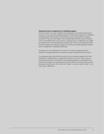#### Employees look to employers for wellbeing support

However, there's no sense of defeat and employees aren't quite ready to give up just yet. They view the wellbeing programs offered by employers as valuable in helping them stay healthy and productive, and in making their company attractive. They are more likely to use mental health services, and are feeling more comfortable than in prior years in reaching out to a colleague who might be dealing with a mental/emotional health issue. They are also looking to their trusted employers for valuable support and easily accessible guidance to help them navigate their wellbeing challenges.

Employees are not looking for more work to do around wellbeing, but to achieve it using the right level of resources to get the right level of outcome.

As employees take stock of their situation, they're seeking support from their employers in helping them navigate through their concerns. They're open to sharing information in exchange for personalized guidance, and believe they can break through and make progress with the right mix of tools and resources. Employers who focus on the "how" and "where"—as much as the "what"—can help make a difference.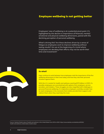## Employee wellbeing is not getting better

Employees' view of wellbeing is at a potential pivot point. It's highlighted by the decline in importance of financial, mental/ emotional and physical wellbeing dimensions, paired with the declining perception of personal wellbeing.

What's driving this? Are these declines driven by a sense of fatigue as employees work to improve wellbeing without seeing results? Are we at the beginning of a trend where employees are deciding their efforts may not be worth their time and investment?



#### So what?

Gaps continue to exist between how employees rank the importance of the five wellbeing dimensions in their lives today, and how they rate their personal situation against them.

With the U.S. market for health and wellness reaching \$170 billion in 2018<sup>1</sup>, it's possible employees are overwhelmed with options from employers, service providers, and retailers. These struggles are also magnified with challenges in personal financial wellbeing; it's imperative employers carefully consider how to reach employees in the moments that matter, provide them support, and redirect them when they need help the most.

 <sup>1</sup> Source: Statista Market value of health and wellness in the United States from 2015 to 2020: https://www.statista.com/statistics/491302/ health-and-wellness-united-states-market-value/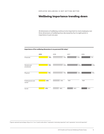## Wellbeing importance trending down

All dimensions of wellbeing continue to be important to most employees, but three dimensions of wellbeing have decreased by four to eight points in importance in just one year.

#### Importance of five wellbeing dimensions in my personal life today\*

|                            | 2019 | 2018 | 2017 | 2016 |
|----------------------------|------|------|------|------|
| Financial                  | 75%  | 79%  | 74%  | 71%  |
| Mental and<br>emotional    | 74%  | 80%  | 85%  | 83%  |
| Physical                   | 71%  | 79%  | 80%  | 79%  |
| Professional and<br>career | 55%  | 55%  | N/A  | N/A  |
| Social                     | 47%  | 48%  | 46%  | 45%  |

\*Figures represent percentage citing a 6 or 7 on a 7-point scale where 7 represents "extremely important" and 1 represents "not at all important."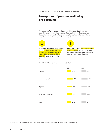## Perceptions of personal wellbeing are declining

Fewer than half of employees indicate a positive state of their current wellbeing across all five dimensions, and perceptions of wellbeing status dropped in each dimension. Personal perceptions of mental and emotional wellbeing have declined most—down six points.



**Emerging Millennials** rate the state of their mental/emotional (37%), physical (36%), professional and career (36%), and social (28%) wellbeing lower than all other generations.

**Boomers** rate their **mental/emotional** wellbeing (48%) higher than all other generations, but still lower compared to prior years—down 7 points.

#### How I'd rate different attributes of my wellbeing\*



\*Figures represent percentage citing an 8, 9, or 10 on an 11-point scale where 0 = "Couldn't be worse" and 10 = "Couldn't be better."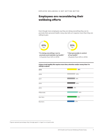## Employees are reconsidering their wellbeing efforts

Even though more employees say they are doing everything they can to promote their personal health, many also tell us it requires more than they are willing to give.



Living a truly healthy life requires more time, attention and/or money than I'm willing to spend\*



\*Figures represent percentage citing "strongly agree" or "agree" on a 6-point scale.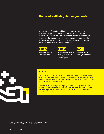## Financial wellbeing challenges persist

Improving the financial wellbeing of employees is a hot topic with employers today.2 Yet, despite the focus and available resources, how employees feel about their financial situations doesn't appear to be getting better—perhaps due to the increased spotlight financial wellbeing brings to their personal financial situation and hardships.



**struggle to cover their monthly expenses**



**say their levels of debt are ruining their quality of life—a 7-point increase over three years**



**are saving nothing for healthcare expenses not covered by insurance**



#### **So what?**

Living paycheck to paycheck or carrying heavy debt takes a toll on employees' physical and mental/emotional health as they look to cope with their financial distress. They may also be less productive and avoid social engagements where money may be required or discussed.

With 56% of Americans reporting that most of their stress comes from their finances<sup>3</sup>, employers need to not only offer financial wellbeing programs, but also offer tools and resources that can be seamlessly and easily integrated into employees' daily lives.

2 Alight's *2019 Hot Topics in Retirement and Financial Wellbeing Study*

3 *Kantar Consulting: 2019 Download on Stress Study*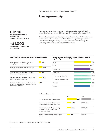Running on empty

**FINANCIAL WELLBEING CHALLENGES PERSIST**

Most employees continue year-over-year to struggle the most with their financial wellbeing, with only 34% rating their financial wellbeing positively.

This could be due to levels of debt, which continues to be a significant burden. Student loans often comprise a portion of debt and span the generations more than 1 in 4 employees report having a student loan. Naturally, the percentage is higher for Centennials and Millennials.

| Experiencing financial difficulties and/or<br>struggling to cover my monthly expenses                                  | 18% |
|------------------------------------------------------------------------------------------------------------------------|-----|
| Ensuring expenses can be covered and/or<br>reducing debt                                                               | 30% |
| Covering expenses, managing debt, and<br>building an emergency fund                                                    | 18% |
| Covering expenses, managing debt, saving<br>and investing for future needs                                             | 28% |
| Planning to retire in the near future (or to a<br>lower income occupation) and using savings<br>for all/some of income | 6%  |

#### How would you describe your current financial situation? Extent to which student loans impact my ability to save: significantly or somewhat of an impact



# My financial viewpoint\*

|                                                                                                | 2019 |     | 2017 |
|------------------------------------------------------------------------------------------------|------|-----|------|
| It's important for me to be debt-free                                                          |      | 76% | 76%  |
| I feel overwhelmed by the number of<br>different ways I can invest my money                    | 34%  |     | 29%  |
| I don't feel comfortable approaching<br>financial advisors or investment<br>companies for help | 28%  |     | 26%  |
| My level of debt is ruining the quality of<br>my life                                          | 24%  |     | 17%  |

\*Figures represent those citing "strongly agree" or "agree" on a 6-point scale.

### **up since 2017**

**8 in 10**

**of mortgage** 

**have some debt outside** 

**+\$1,000** 

(compared to 3 in 4 in 2017)

**average debt amounts are**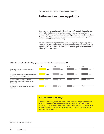## Retirement as a saving priority

One message that may be getting through more effectively is the need to plan and save for the future. An increasing number of employees are afraid of running out of money during retirement (up 10 points in two years), and believe they won't be able to retire at their desired retirement age (up seven points in two years, and 10 points in four years).

While the fear and recognition of not having enough saved is growing, more employees say they are taking the right steps to address this. Further evidence supporting this trend is that on average 80% of employees contribute to their company's retirement plan.4



#### Which statement describes the things you have done to estimate your retirement needs?

### **Will retirement come early?**

Estimating is critically important for the more than 1 in 5 employees between ages 18–40 who expect to retire early (between ages 55–60). Since these employees are also struggling with debt and savings behaviors, they may need additional support to increase their savings rates and resources/tool usage as they work toward this goal.

 <sup>4</sup> *2018 Alight Universe Benchmarks Report*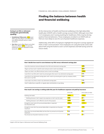## Finding the balance between health and financial wellbeing

#### Saving in an HSA or retirement savings plan, generationally speaking:

- **Established Millennials** (41%)most often say they figure out what they can afford and put some in both accounts
- **Gen Xers** most often figure out what they can afford  $(30\%)$  or save the maximum amount allowed in both accounts (30%)

At the intersection of health and financial wellbeing is the high deductible health plan (HDHP) with a health savings account (HSA). Although more than 2 in 5 employees aren't saving anything for healthcare, HSAs may be driving positive financial behaviors. Those employees enrolled in an HDHP with an HSA are more likely to save for out-of-pocket healthcare expenses.

Additionally, while 80% of employers highlight the long-term savings appeal of HSAs in their communication<sup>5</sup>, how employees are using the funds varies with about half using the funds to cover current expenses and half saving some for future needs.

#### How I decide how much to save between my HSA versus retirement savings plan

| save the maximum amount allowed in the HSA and retirement savings plan                                                  | 21%        |
|-------------------------------------------------------------------------------------------------------------------------|------------|
| I figure out how much I need for each and put some in each accordingly                                                  | <b>16%</b> |
| I figure out what I can afford and put some in each accordingly                                                         | 33%        |
| save first in my HSA until I reach my annual goal, then save in my retirement savings plan                              | 5%         |
| I save first in my retirement savings plan until I reach my annual goal or get my company match,<br>then save in my HSA | 6%         |
| save only in my HSA or only in my retirement savings plan                                                               | 3%         |
| I don't really have a specific or regular plan and decide as I go along                                                 | 16%        |

#### How much I am saving or setting aside this year for healthcare expenses not paid by insurance

|                                                                                  | 2019 (all) | 2019 (with an HSA) |
|----------------------------------------------------------------------------------|------------|--------------------|
| Nothing (net total)                                                              | 42%        | 29%                |
| Nothing, because I don't expect any expenses or don't see the need               | <b>19%</b> | 9%                 |
| Nothing, because I can't afford to save for this purpose                         | 23%        | 20%                |
| Enough to cover some of my annual deductible or expected<br>out-of-pocket costs  | 31%        | 34%                |
| Enough to cover all of my annual deductible or expected out-of-pocket<br>maximum | <b>17%</b> | 19%                |
| More than my annual deductible, but less than my annual out-of-pocket<br>maximum | 5%         | 8%                 |
| My annual out-of-pocket maximum or more                                          | 5%         | 9%                 |

5 Alight's *2019 Hot Topics in Retirement and Financial Wellbeing Study*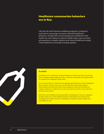## Healthcare consumerism behaviors are in flux

Like they do with financial wellbeing programs, employers continue to encourage consumer-oriented healthcare behaviors. People who are personally accountable for their health are more likely to research health topics and use tools, ask questions, compare options and choose healthcare wisely. These behaviors are slowly trending upward.



#### **So what?**

Employers are in a dilemma. Employee behavior shows that they are learning how to mitigate high healthcare costs—either by comparing costs (good news) or avoiding care altogether (bad news).

On one hand, there's a need to encourage the good behaviors of the employees that compare costs for care and use cost-effective, high quality options. Alternatively, we know that often when employees avoid care and take on negative behaviors, health risks increase, driving the need for more expensive services in the future.

With the cost of medical and drug benefits consistently on the rise, employers should continue to incent healthy behaviors and adopt new solutions and strategies that make it easier for employees to find and receive quality and cost-effective care.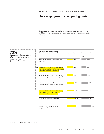## More employees are comparing costs

On average, an increasing number of employees are engaging with their healthcare by taking action to compare costs or another consumer-related behavior.

| have taken at least one (or both)<br>of the two healthcare cost- |                                                                                                                         | 2019 | 2017 |
|------------------------------------------------------------------|-------------------------------------------------------------------------------------------------------------------------|------|------|
| related actions<br>(up from 68% in 2017)                         | Brought information I found to a visit<br>to discuss                                                                    | 43%  | 39%  |
|                                                                  | Compared costs for any recommended<br>medical services from different providers<br>or facilities to find the best value | 44%  | 36%  |
|                                                                  | Brought along a friend or family member<br>to a visit as my advocate or for support                                     | 47%  | 45%  |
|                                                                  | Asked whether a type of treatment or<br>prescription drug might be right for me                                         | 55%  | 54%  |
|                                                                  | Asked a provider or insurance company<br>ەسىنا<br>about costs or looked up costs for<br>recommended medical services    | 56%  | 54%  |
|                                                                  | Brought a list of questions to a visit                                                                                  | 60%  | 62%  |
|                                                                  | Looked for information about my<br>symptoms before a visit                                                              | 71%  | 75%  |

\*Figures represent those doing each at least once.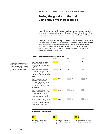## Taking the good with the bad: Costs may drive increased risk

Although employees overall are becoming better consumers, cost pressures have driven more people to engage in less desirable behaviors—like avoiding other types of coverage, taking less medication than needed, or avoiding care completely.

Employees who regretted making a healthcare decision increased from 35% to 42% since 2018. Those who have regretted a healthcare decision in the past are more apt to use a variety of health/financial decision tools and wellbeing programs. For example, 59% of employees who've regretted a healthcare decision see value in personalized support for navigating the health system, compared to 45% with no regrets.

|                                                                                                                                                                  | 2019 | 2018 | 2017 |
|------------------------------------------------------------------------------------------------------------------------------------------------------------------|------|------|------|
| I have reduced or stopped<br>saving for the future (for<br>retirement or other goals) to<br>pay for health costs                                                 | 41%  | N/A  | N/A  |
| I have reduced spending on<br>some other non-health related<br>areas (mortgage/rent, food,<br>utilities, etc.) to pay for health<br>costs                        | 40%  | N/A  | N/A  |
| I have not gotten care for<br>myself or another family<br>member because I could not<br>come up with the out-of-<br>pocket costs required to pay<br>for the care | 37%  | 29%  | 27%  |
| I have stopped taking/I have<br>taken less medication (either<br>less frequently or fewer in<br>number), or delayed filling a<br>prescription to save money      | 36%  | 26%  | 21%  |
| I have declined other types of<br>insurance or benefits like<br>dental or vision to be able to<br>pay for health insurance                                       | 36%  | 28%  | 22%  |

Top healthcare decision regrets



Not checking costs at various facilities



Jumping into treatment without asking the right questions



Getting bad advice from a healthcare professional

More Centennials and Millennials say that they are reducing their current spending and/or savings habits to pay for healthcare costs, as compared to Gen Xers and Boomers.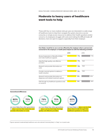## Moderate to heavy users of healthcare want tools to help

Those with four or more medical visits per year are interested in a wide range of healthcare tools to help them navigate the system, become a savvier consumer, or simply access resources to address their health questions and/or concerns. As employees struggle with costs and making the difficult trade-off decisions, more are open to support, especially from their employer.

How likely I would be to use a service offered by the employer where a person (not connected to the employer or health plan) helped me with the following activities\*

|                                                                                | 2019 |     | 2018 |     |
|--------------------------------------------------------------------------------|------|-----|------|-----|
| Review Explanation of Benefits (EOBs)<br>and make healthcare appeals           |      | 77% |      | 71% |
| Help find high quality, cost-effective<br>providers                            |      | 77% | N/A  |     |
| Research and provide information on<br>costs                                   |      | 76% | N/A  |     |
| Provide a second opinion to address a<br>health situation                      |      | 75% | N/A  |     |
| Research and provide information on<br>diagnoses and related treatment options |      | 74% |      | 65% |
| Talk through my healthcare questions and/<br>or concerns                       |      | 74% |      | 69% |

#### Generational differences



\*Figures represent moderate/high healthcare users who selected "extremely likely" or "likely" on a 4-point scale.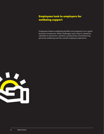## Employees look to employers for wellbeing support

Employees believe wellbeing benefits and programs are a good business investment. While challenges exist, they're viewed as valuable to attraction, retention, productivity, and enhancing personal wellbeing and the overall employee experience.

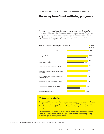## The many benefits of wellbeing programs

The perceived impact of wellbeing programs is consistent with findings from prior years, yet the impact on the employee experience is growing. The number of employees who agree these programs are one of the reasons they stay at their job has increased 20 points, and perceptions related to investment and attraction are all up significantly over five years.



#### **Wellbeing is here to stay**

Centennials (90%) are more likely than other generations to agree that wellbeing benefits and programs are a good business investment. They are also more likely than other generations (87%) to agree that they enhance/improve their overall employment experience.

Yet, they also are the least likely to say they make them feel better about their employer. This could be due to their higher expectation that wellbeing is simply part of any typical employee experience.

\*Figures represent the percentage citing "strongly agree," "agree," or "slightly agree" on a 6-point scale.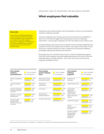## What employees find valuable

#### **Money talks**

Across the five wellbeing dimensions and all employees, financial-related communications, tools and programs are ranked as the most valuable resources an employer can provide (i.e., a financial wellbeing site, retirement savings plan decision tools and 1:1 financial help).

Employees, particularly younger ones, find websites, seminars and newsletters related to wellbeing valuable.

However, employees don't always seem to know what tools are available to them. Over one-third struggle with knowing where to go for wellbeing information—and younger employees are even less likely to know where to go.

Among employees who have access to specific action-oriented wellbeing tools, awareness varies. All employees are, however, more likely to find value in tools that serve a specific purpose or action, compared to the general wellbeing knowledge imparted by websites and seminars.

Employees also see consistent value across a variety of wellbeing programs. Over half of all employees reported wellbeing programs from each of the five wellbeing pillars as being valuable—even more so by those who have the programs available to them.



| Have it available<br>All employees | Most valuable<br>specific wellbeing<br>tools* | Have it available<br>All employees                            | <b>Most valuable</b><br>wellbeing<br>programs*                 | Have it available<br>All employees |
|------------------------------------|-----------------------------------------------|---------------------------------------------------------------|----------------------------------------------------------------|------------------------------------|
| 61%<br>53%                         | Retirement savings<br>plan decision tools     | 78%<br>68%                                                    | Paid time off<br>exchange                                      | 66%<br>51%                         |
| 57%<br>51%                         | Health plan<br>comparisons                    | 77%<br>66%                                                    | Onsite health clinics                                          | 65%<br>52%                         |
| 56%<br>49%                         | Cost clarity<br>Spending and                  | 76%<br>63%<br>70%                                             | Personalized<br>support for<br>navigating the<br>health system | 60%<br>51%                         |
| 56%<br>47%                         | savings assistance                            | 59%                                                           | Higher education<br>support                                    | 60%<br>53%                         |
| 51%                                | Provider choice tools                         | 73%<br>$\Gamma$ <sup><math>\cap</math><math>\cap</math></sup> |                                                                | $F \cap Y$                         |



\*Figures represent those citing "very valuable" or "valuable" on a 4-point scale. Only top items selected most often are shown.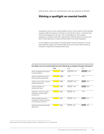## Shining a spotlight on mental health

Employees may not rank mental health services in their top five most valuable employer-offered programs, but they are of interest to them—and have been used increasingly year-over-year. This is especially true with younger employees, consistent with their reported use of these types of services, and their overall openness to help and information from their employers.

As the negative social stigma of mental health concerns declines, it can be expected that supportive mental health tools and services will continue to increase in importance and perceived value.

|                                                                                  | 2019 |     | 2018 |     | 2017 |     |
|----------------------------------------------------------------------------------|------|-----|------|-----|------|-----|
| Stress management program<br>to build resilience                                 |      | 59% |      | 51% |      | 48% |
| Referral to offsite, in-person<br>mental health professional                     |      | 56% | N/A  |     | N/A  |     |
| Onsite services with a mental<br>health professional                             |      | 53% |      | 46% |      | 36% |
| Onsite meditation or<br>mindfulness class                                        |      | 52% |      | 43% |      | 38% |
| Telephonic, virtual or online<br>visit with a mental health<br>professional      |      | 51% |      | 41% | N/A  |     |
| Mental health awareness<br>campaign or other promotion<br>to encourage awareness |      | 51% |      | 42% |      | 35% |
| Mental and emotional health<br>application                                       |      | 50% |      | 40% |      | 36% |

#### How likely I am to use mental health services if offered by my employer through a third party\*

\*Figures represent those citing "probably would" or "definitely would" on a 4-point scale.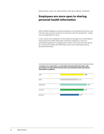## Employees are more open to sharing personal health information

With artificial intelligence and personalization of everything from homes, cars, and every day consumer products, it's become a part of everyday life—maybe even an expectation for some.

It also may be why employees are becoming increasingly more comfortable in sharing personal health information with their employers in return for personalized guidance in managing their health. The comfort level has grown by 17 points since 2018, with Millennials as the most comfortable sharing personal information.

#### I would be very comfortable or comfortable sharing health information with my employer (or appropriate third party) for personalized health and wellness information or guidance

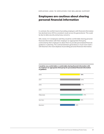## Employees are cautious about sharing personal financial information

In contrast, the comfort level of providing employers with financial information has declined since 2015 (a consistent result across the generations). This could be due to data security and privacy concerns.

Still, nearly 3 in 5 employees said they would be comfortable sharing personal financial information with their employer (or appropriate third party contracted by their employer) to allow them to provide personalized financial guidance or planning. The contrast between generations is much more stark with Boomers the most skeptical of providing personal financial information.

#### I would be very comfortable or comfortable sharing financial information with my employer (or appropriate third party) for personalized financial information or guidance

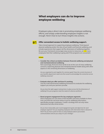## What employers can do to improve employee wellbeing

Employers play a direct role in promoting employee wellbeing efforts, and simply understanding employee insights is not enough. Here's how to turn those insights into actions.



### Offer convenient access to holistic wellbeing support.

Take a broad approach to supporting employee wellbeing. Think beyond physical wellbeing and/or the silos of just health and financial wellbeing, and include experiences that support all five dimensions of wellbeing together. Be sure your framework encourages easy access to resources, as 2.5X more employees feel their wellbeing is going well if the programs are convenient.

#### Actions

• **Consider the critical correlation between financial wellbeing and physical and mental/emotional wellbeing.** 

Not surprisingly, financial stress tends to be at the core of many wellbeing concerns, impacting physical and mental/emotional health along with other aspects in the remaining dimensions of wellbeing.

*Are you organized to work together for common goals? Does the current structure of your benefits department need to be fine-tuned to acknowledge the connection across wellbeing resources?* 

#### • **Evaluate what you offer and how it's working.**

Use the multi-dimensional wellbeing framework to evaluate the wellbeing support you and your partners provide.

*Do you have the right support and partners in place across the five dimensions of wellbeing? Do your programs meet the needs of a diverse workforce?*

#### • **Boost program engagement for key employee segments.**

Most employees are not aware of the benefits and tools available to them. Over one-third do not know where to go for wellbeing information, specifically younger employees. Create a strategy that not only raises awareness, but also drives action.

*Do you have measurable, year-round engagement goals and objectives for each employee segment? Are you targeting employees with information that is relevant to them? Do you have a point of view on using employee data to personalize communications and are you using it in your strategy?*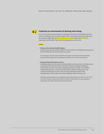

## Cultivate an environment of sharing and caring.

In just one year, the percentage of employees who feel comfortable reaching out to a colleague who may be dealing with a mental/emotional health issue increased by eight points (41% to 49% since 2018). Millennials (57%) are especially comfortable. Tap into this transparency movement.

#### **Actions**

#### • **Dissolve the mental health stigma.**

Bring mental and emotional health to the forefront of wellbeing resources to drive familiarity and conversation around it.

*Do managers have the tools to identify and support mental and emotional health concerns with employees? Are employees' families a part of the conversation?* 

#### • **Keep private information secure.**

Employee data can be used to make benefits communication and education more personal, relevant and actionable. However, keeping employee information private and secure, especially personal health- and wealthrelated information, is of utmost importance. Build employee trust by communicating your privacy and security philosophy and create transparency in how, when, and why employee data is being used.

*What do you know about your employees today, and what do you need to know? How and when will you use personal health or financial information to help employees understand and make important benefits decisions?*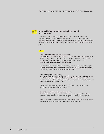

#### Keep wellbeing experiences simple, personal and connected.

Those with a great employee experience are more positive about their wellbeing overall, and employees believe they can make progress in their wellbeing with the right mix of tools and programs that fit easily into their lives. As part of the employee experience, offer a mix of tools and programs that do just that.

#### **Actions**

#### • **Avoid drowning employees in information.**

Awareness of resources is important, but avoid overloading employees with a blitz of wellbeing communication once or twice per year. Take a 365-daysa-year communication approach and promote the resources your employees find most valuable and relevant.

*Are you considering the employee experience in your communication plan? Have you audited or solicited feedback/research on your communication approach to determine the best way to keep communication simple and relevant?* 

#### • **Personalize communications.**

As part of the information exchange with employees, generate targeted and results-driven communication. Send personalized messages to boost understanding of their options, the benefits of each option, and the resources and tools to which they have access.

*What results do you want your communication to drive? Is your communication personal enough to "speak" to your employees?* 

#### • **Look at the experience of making decisions.**

When asking employees to make a decision or take a particular action, consider every step of the process through the eyes of your employees.

*Does each step make sense and are you providing appropriate guidance along the way? Are there simple tools available to support better decision making?*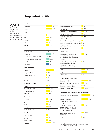## Respondent profile

**Gender**

## **2,501**

U.S. adult employees surveyed. Employed in organizations of at least 1000 U.S. based employees.

| Females                   | 50%           |
|---------------------------|---------------|
| Males                     | 50%           |
| Age                       |               |
| $18 - 25$                 | 8%            |
| $26 - 34$                 | 25%           |
| $35 - 44$                 | 25%           |
| $45 - 54$                 | 17%           |
| $55 - 65$                 | 25%           |
| Generation                |               |
| Centennials               | 3%            |
| Millennials               | 46%           |
| Emerging Millennials**    | <b>16%</b>    |
| Established Millennials** | $\sqrt{30\%}$ |
| Gen Xers                  | 24%           |
| <b>Boomers</b>            | 27%           |
| Race/ethnicity            |               |
| White                     | 64%           |
| Hispanic/Latino           | 12%           |
| African-American          | 9%            |
| Asian                     | 7%            |
| Other                     | 3%            |
| Household income          |               |
| <\$35,000                 | 17%           |
| \$35,000-\$64,999         | 35%           |
| \$65,000–\$99,999         | 32%           |
| \$100,000 or more         | 16%           |
| Years of service          |               |
| Less than 2               | 20%           |
| $2 - 4$                   | 28%           |
| $5 - 9$                   | 18%           |
| $10 - 14$                 | 22%           |
| 15 or more years          | 12%           |
| <b>Employer size</b>      |               |
| 1,000-2,999               | 19%           |
| 3,000-4,999               | 16%           |
| 5,000-9,999               | 20%           |
| $10,000+$                 | 45%<br>$**$   |

#### 18% 3% 47% 6% 27% **Health plan** High deductible health plan with a health savings account or healthcare reimbursement account High deductible health plan without a health savings account or healthcare reimbursement account **HMO** PPO Don't know 73% 53% 24% **7%** 17% **Retirement plan available through employer** Retirement savings plan with employee contributions Employer-matching contributions to a retirement savings plan Automatic/non-matching employer contributions to a retirement savings plan (e.g., profit sharing) Defined benefit or pensiontype plan None 51% 17%  $24%$ 8% **Health plan coverage type** Employee-only Employee and spouse/partner Employee and child(ren) Employee and family 15% 15% 16%  $-11\%$ 7% 9% 14% 17% 5% **Industry** Healthcare provider Public sector Retail and wholesale trade Manufacturing and energy Business services and construction Financial services and insurance Media, entertainment and leisure Utilities and telecommunications Technology\*

Technology industry is created from a sub-set of industry groups. Emerging Millennials turn age 23 to 31 in 2019; Established

Millennials turn age 32 to 40 in 2019.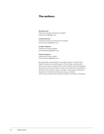## The authors

#### **Ray Baumruk**

Experience Design, Research & Insights ray.baumruk@alight.com

#### **Christin Devcich**

Consumer Experience, Research & Insights christin.devcich@alight.com

#### **Jennifer Gislason**

Experience Design, Wealth jennifer.gislason@alight.com

#### **Heidi Henderson**

Experience Design, Health heidi.henderson@alight.com

We gratefully acknowledge the valuable support of others from Alight Solutions in the development of this study, including Rob Austin, Lynn Devany, Kenje Mallot, Julie McHugh, Claudia Osegueda, Sara Taylor and Janna Tebbs, as well as the important contributions of others who made this report possible: Craig Lykens and Brenna Shebel from The National Business Group on Health and Christine Baskin and Heather Granger from Kantar Consulting.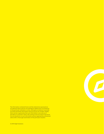The information contained herein and the statements expressed are of a general nature and are not intended to address the circumstances of any particular individual or entity. Although we endeavor to provide accurate and timely information and use sources we consider reliable, there can be no guarantee that such information is accurate as of the date it is received or that it will continue to be accurate in the future. No one should act on such information without appropriate professional advice after a thorough examination of the particular situation.



© 2019 Alight Solutions